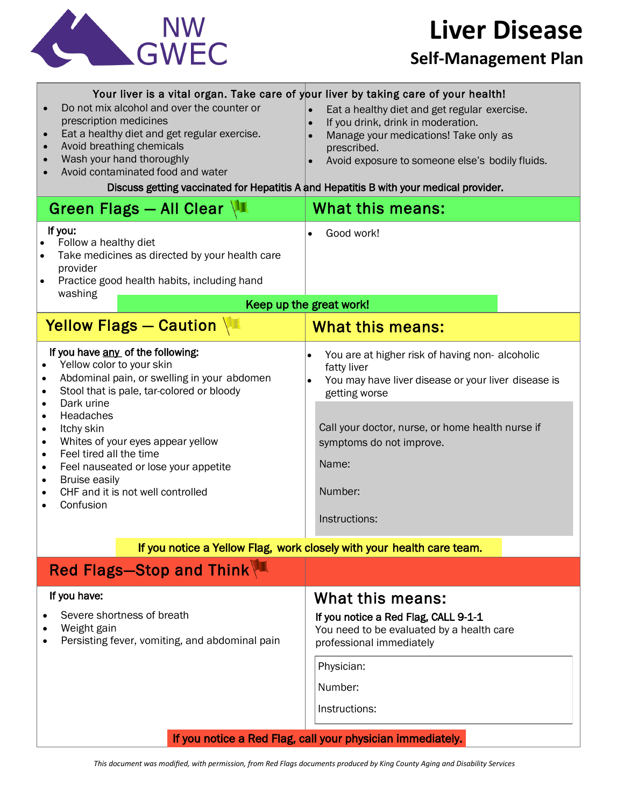

# **Liver Disease**

#### **Self-Management Plan**

| Your liver is a vital organ. Take care of your liver by taking care of your health!<br>Do not mix alcohol and over the counter or<br>prescription medicines<br>Eat a healthy diet and get regular exercise.<br>Avoid breathing chemicals<br>Wash your hand thoroughly<br>Avoid contaminated food and water<br>Discuss getting vaccinated for Hepatitis A and Hepatitis B with your medical provider.                                                                                                       | Eat a healthy diet and get regular exercise.<br>If you drink, drink in moderation.<br>$\bullet$<br>Manage your medications! Take only as<br>prescribed.<br>Avoid exposure to someone else's bodily fluids.                                                              |
|------------------------------------------------------------------------------------------------------------------------------------------------------------------------------------------------------------------------------------------------------------------------------------------------------------------------------------------------------------------------------------------------------------------------------------------------------------------------------------------------------------|-------------------------------------------------------------------------------------------------------------------------------------------------------------------------------------------------------------------------------------------------------------------------|
| Green Flags - All Clear                                                                                                                                                                                                                                                                                                                                                                                                                                                                                    | What this means:                                                                                                                                                                                                                                                        |
| If you:<br>Follow a healthy diet<br>$\bullet$<br>Take medicines as directed by your health care<br>provider<br>Practice good health habits, including hand<br>washing                                                                                                                                                                                                                                                                                                                                      | Good work!                                                                                                                                                                                                                                                              |
| Keep up the great work!                                                                                                                                                                                                                                                                                                                                                                                                                                                                                    |                                                                                                                                                                                                                                                                         |
| Yellow Flags - Caution                                                                                                                                                                                                                                                                                                                                                                                                                                                                                     | <b>What this means:</b>                                                                                                                                                                                                                                                 |
| If you have any of the following:<br>Yellow color to your skin<br>Abdominal pain, or swelling in your abdomen<br>$\bullet$<br>Stool that is pale, tar-colored or bloody<br>$\bullet$<br>Dark urine<br>$\bullet$<br>Headaches<br>$\bullet$<br>Itchy skin<br>$\bullet$<br>Whites of your eyes appear yellow<br>$\bullet$<br>Feel tired all the time<br>$\bullet$<br>Feel nauseated or lose your appetite<br>$\bullet$<br><b>Bruise easily</b><br>$\bullet$<br>CHF and it is not well controlled<br>Confusion | You are at higher risk of having non-alcoholic<br>$\bullet$<br>fatty liver<br>You may have liver disease or your liver disease is<br>getting worse<br>Call your doctor, nurse, or home health nurse if<br>symptoms do not improve.<br>Name:<br>Number:<br>Instructions: |
| If you notice a Yellow Flag, work closely with your health care team.                                                                                                                                                                                                                                                                                                                                                                                                                                      |                                                                                                                                                                                                                                                                         |
| Red Flags-Stop and Think                                                                                                                                                                                                                                                                                                                                                                                                                                                                                   |                                                                                                                                                                                                                                                                         |
| If you have:<br>Severe shortness of breath<br>Weight gain<br>Persisting fever, vomiting, and abdominal pain                                                                                                                                                                                                                                                                                                                                                                                                | What this means:<br>If you notice a Red Flag, CALL 9-1-1<br>You need to be evaluated by a health care<br>professional immediately<br>Physician:<br>Number:<br>Instructions:                                                                                             |
| If you notice a Red Flag, call your physician immediately.                                                                                                                                                                                                                                                                                                                                                                                                                                                 |                                                                                                                                                                                                                                                                         |